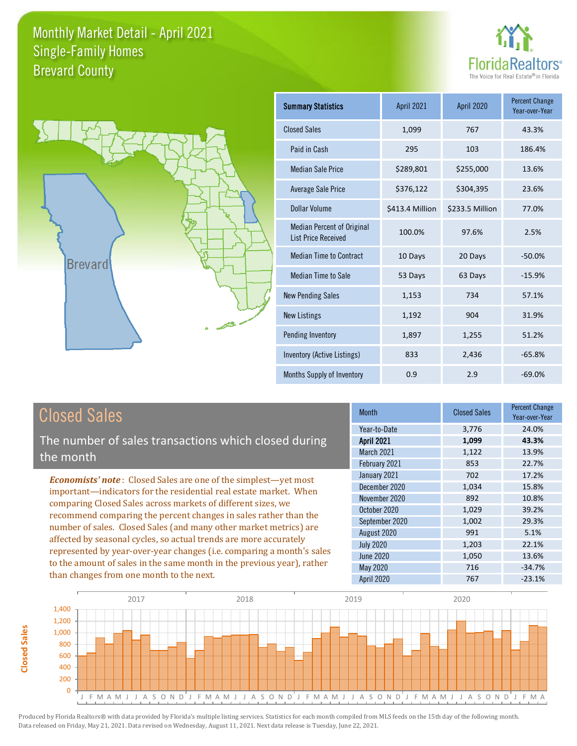



| <b>Summary Statistics</b>                                       | <b>April 2021</b> | April 2020      | <b>Percent Change</b><br>Year-over-Year |
|-----------------------------------------------------------------|-------------------|-----------------|-----------------------------------------|
| <b>Closed Sales</b>                                             | 1,099             | 767             | 43.3%                                   |
| Paid in Cash                                                    | 295               | 103             | 186.4%                                  |
| <b>Median Sale Price</b>                                        | \$289,801         | \$255,000       | 13.6%                                   |
| <b>Average Sale Price</b>                                       | \$376,122         | \$304,395       | 23.6%                                   |
| Dollar Volume                                                   | \$413.4 Million   | \$233.5 Million | 77.0%                                   |
| <b>Median Percent of Original</b><br><b>List Price Received</b> | 100.0%            | 97.6%           | 2.5%                                    |
| <b>Median Time to Contract</b>                                  | 10 Days           | 20 Days         | $-50.0%$                                |
| <b>Median Time to Sale</b>                                      | 53 Days           | 63 Days         | $-15.9%$                                |
| <b>New Pending Sales</b>                                        | 1,153             | 734             | 57.1%                                   |
| <b>New Listings</b>                                             | 1,192             | 904             | 31.9%                                   |
| Pending Inventory                                               | 1,897             | 1,255           | 51.2%                                   |
| Inventory (Active Listings)                                     | 833               | 2,436           | $-65.8%$                                |
| Months Supply of Inventory                                      | 0.9               | 2.9             | $-69.0%$                                |

# Closed Sales

The number of sales transactions which closed during the month

*Economists' note* : Closed Sales are one of the simplest—yet most important—indicators for the residential real estate market. When comparing Closed Sales across markets of different sizes, we recommend comparing the percent changes in sales rather than the number of sales. Closed Sales (and many other market metrics) are affected by seasonal cycles, so actual trends are more accurately represented by year-over-year changes (i.e. comparing a month's sales to the amount of sales in the same month in the previous year), rather than changes from one month to the next.

| <b>Month</b>      | <b>Closed Sales</b> | <b>Percent Change</b><br>Year-over-Year |
|-------------------|---------------------|-----------------------------------------|
| Year-to-Date      | 3,776               | 24.0%                                   |
| <b>April 2021</b> | 1,099               | 43.3%                                   |
| <b>March 2021</b> | 1,122               | 13.9%                                   |
| February 2021     | 853                 | 22.7%                                   |
| January 2021      | 702                 | 17.2%                                   |
| December 2020     | 1,034               | 15.8%                                   |
| November 2020     | 892                 | 10.8%                                   |
| October 2020      | 1,029               | 39.2%                                   |
| September 2020    | 1,002               | 29.3%                                   |
| August 2020       | 991                 | 5.1%                                    |
| <b>July 2020</b>  | 1,203               | 22.1%                                   |
| <b>June 2020</b>  | 1,050               | 13.6%                                   |
| May 2020          | 716                 | $-34.7%$                                |
| April 2020        | 767                 | $-23.1%$                                |

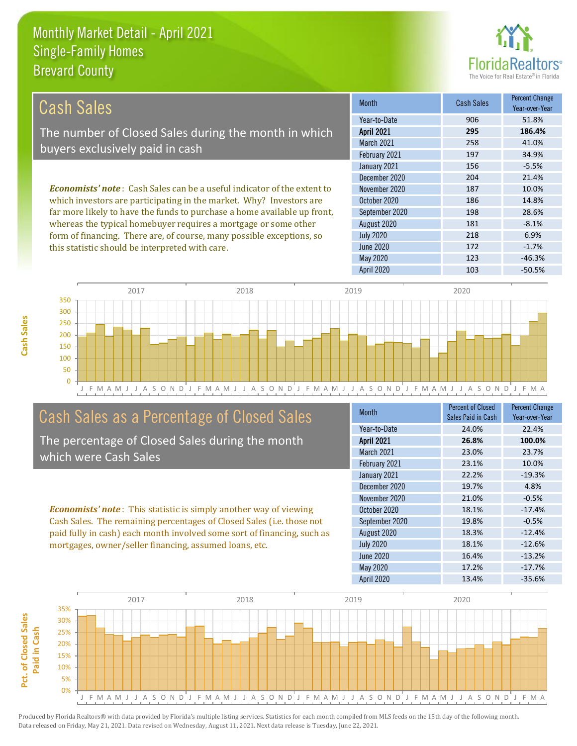

| Cash Sales'                                                                    | <b>Month</b>      | <b>Cash Sales</b> | <b>Percent Change</b><br>Year-over-Year |
|--------------------------------------------------------------------------------|-------------------|-------------------|-----------------------------------------|
|                                                                                | Year-to-Date      | 906               | 51.8%                                   |
| The number of Closed Sales during the month in which                           | <b>April 2021</b> | 295               | 186.4%                                  |
| buyers exclusively paid in cash                                                | <b>March 2021</b> | 258               | 41.0%                                   |
|                                                                                | February 2021     | 197               | 34.9%                                   |
|                                                                                | January 2021      | 156               | $-5.5%$                                 |
|                                                                                | December 2020     | 204               | 21.4%                                   |
| <b>Economists' note:</b> Cash Sales can be a useful indicator of the extent to | November 2020     | 187               | 10.0%                                   |
| which investors are participating in the market. Why? Investors are            | October 2020      | 186               | 14.8%                                   |
| far more likely to have the funds to purchase a home available up front,       | September 2020    | 198               | 28.6%                                   |
| whereas the typical homebuyer requires a mortgage or some other                | August 2020       | 181               | $-8.1%$                                 |
| form of financing There are of course many possible exceptions so              | lnh/2020          | 718               | 69%                                     |

form of financing. There are, of course, many possible exceptions, so this statistic should be interpreted with care.

| .                 |     |          |
|-------------------|-----|----------|
| <b>March 2021</b> | 258 | 41.0%    |
| February 2021     | 197 | 34.9%    |
| January 2021      | 156 | $-5.5%$  |
| December 2020     | 204 | 21.4%    |
| November 2020     | 187 | 10.0%    |
| October 2020      | 186 | 14.8%    |
| September 2020    | 198 | 28.6%    |
| August 2020       | 181 | $-8.1%$  |
| <b>July 2020</b>  | 218 | 6.9%     |
| June 2020         | 172 | $-1.7%$  |
| May 2020          | 123 | $-46.3%$ |
| <b>April 2020</b> | 103 | $-50.5%$ |
|                   |     |          |



# Cash Sales as a Percentage of Closed Sales

The percentage of Closed Sales during the month which were Cash Sales

*Economists' note* : This statistic is simply another way of viewing Cash Sales. The remaining percentages of Closed Sales (i.e. those not paid fully in cash) each month involved some sort of financing, such as mortgages, owner/seller financing, assumed loans, etc.

| <b>Month</b>      | <b>Percent of Closed</b><br>Sales Paid in Cash | <b>Percent Change</b><br>Year-over-Year |
|-------------------|------------------------------------------------|-----------------------------------------|
| Year-to-Date      | 24.0%                                          | 22.4%                                   |
| <b>April 2021</b> | 26.8%                                          | 100.0%                                  |
| March 2021        | 23.0%                                          | 23.7%                                   |
| February 2021     | 23.1%                                          | 10.0%                                   |
| January 2021      | 22.2%                                          | $-19.3%$                                |
| December 2020     | 19.7%                                          | 4.8%                                    |
| November 2020     | 21.0%                                          | $-0.5%$                                 |
| October 2020      | 18.1%                                          | $-17.4%$                                |
| September 2020    | 19.8%                                          | $-0.5%$                                 |
| August 2020       | 18.3%                                          | $-12.4%$                                |
| <b>July 2020</b>  | 18.1%                                          | $-12.6%$                                |
| <b>June 2020</b>  | 16.4%                                          | $-13.2%$                                |
| May 2020          | 17.2%                                          | $-17.7%$                                |
| <b>April 2020</b> | 13.4%                                          | $-35.6%$                                |

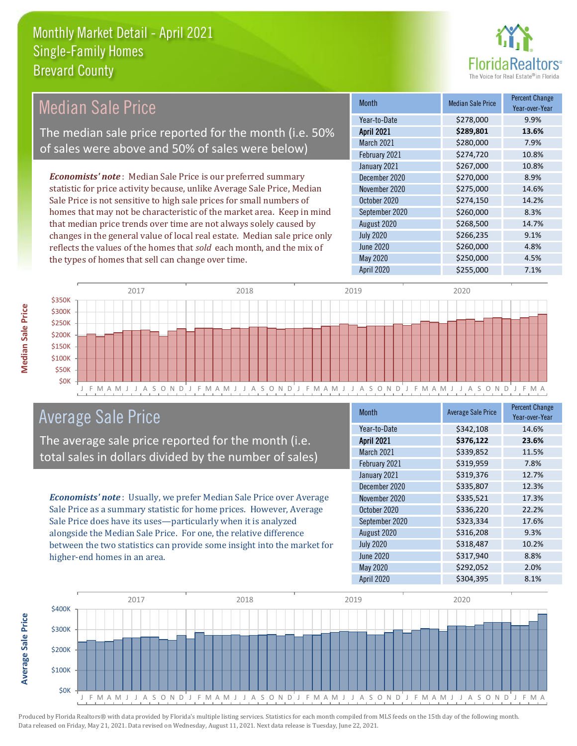

#### Month Median Sale Price Percent Change Year-over-Year April 2021 **\$289,801 13.6%** Year-to-Date \$278,000 9.9% September 2020 \$260,000 8.3% March 2021 **\$280,000** 7.9% February 2021 **\$274,720** 10.8% November 2020 \$275,000 14.6% October 2020 \$274,150 14.2% January 2021 **\$267,000** 10.8% December 2020 \$270,000 8.9% August 2020 \$268,500 14.7% July 2020 \$266,235 9.1% June 2020 **\$260,000** \$260,000 4.8% May 2020 6250,000 4.5% April 2020 \$255,000 7.1% *Economists' note* : Median Sale Price is our preferred summary statistic for price activity because, unlike Average Sale Price, Median Sale Price is not sensitive to high sale prices for small numbers of homes that may not be characteristic of the market area. Keep in mind that median price trends over time are not always solely caused by changes in the general value of local real estate. Median sale price only reflects the values of the homes that *sold* each month, and the mix of the types of homes that sell can change over time. Median Sale Price The median sale price reported for the month (i.e. 50% of sales were above and 50% of sales were below)



### Average Sale Price

The average sale price reported for the month (i.e. total sales in dollars divided by the number of sales)

*Economists' note* : Usually, we prefer Median Sale Price over Average Sale Price as a summary statistic for home prices. However, Average Sale Price does have its uses—particularly when it is analyzed alongside the Median Sale Price. For one, the relative difference between the two statistics can provide some insight into the market for higher-end homes in an area.

| <b>Month</b>     | <b>Average Sale Price</b> | <b>Percent Change</b><br>Year-over-Year |
|------------------|---------------------------|-----------------------------------------|
| Year-to-Date     | \$342,108                 | 14.6%                                   |
| April 2021       | \$376,122                 | 23.6%                                   |
| March 2021       | \$339,852                 | 11.5%                                   |
| February 2021    | \$319,959                 | 7.8%                                    |
| January 2021     | \$319,376                 | 12.7%                                   |
| December 2020    | \$335,807                 | 12.3%                                   |
| November 2020    | \$335,521                 | 17.3%                                   |
| October 2020     | \$336,220                 | 22.2%                                   |
| September 2020   | \$323,334                 | 17.6%                                   |
| August 2020      | \$316,208                 | 9.3%                                    |
| <b>July 2020</b> | \$318,487                 | 10.2%                                   |
| <b>June 2020</b> | \$317,940                 | 8.8%                                    |
| May 2020         | \$292,052                 | 2.0%                                    |
| April 2020       | \$304,395                 | 8.1%                                    |



**Average Sale Price**

**Average Sale Price**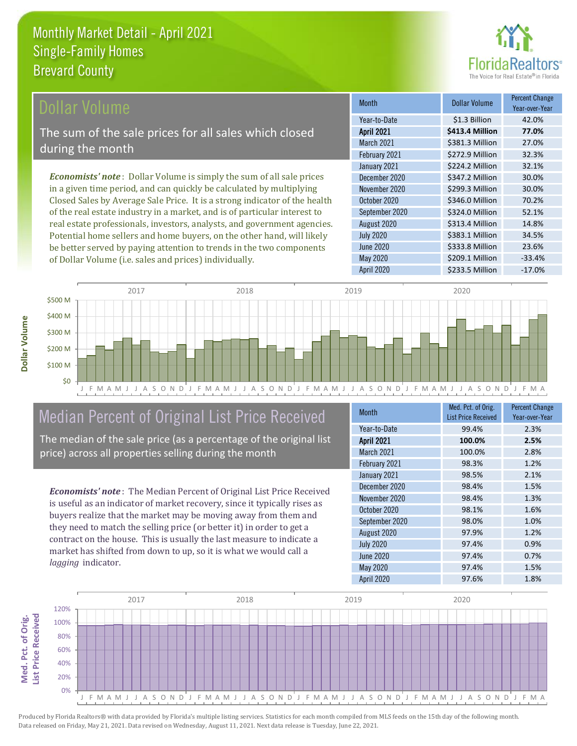

#### **Ollar Volume**

The sum of the sale prices for all sales which closed during the month

*Economists' note* : Dollar Volume is simply the sum of all sale prices in a given time period, and can quickly be calculated by multiplying Closed Sales by Average Sale Price. It is a strong indicator of the health of the real estate industry in a market, and is of particular interest to real estate professionals, investors, analysts, and government agencies. Potential home sellers and home buyers, on the other hand, will likely be better served by paying attention to trends in the two components of Dollar Volume (i.e. sales and prices) individually.

| Month             | <b>Dollar Volume</b> | <b>Percent Change</b><br>Year-over-Year |
|-------------------|----------------------|-----------------------------------------|
| Year-to-Date      | \$1.3 Billion        | 42.0%                                   |
| <b>April 2021</b> | \$413.4 Million      | 77.0%                                   |
| <b>March 2021</b> | \$381.3 Million      | 27.0%                                   |
| February 2021     | \$272.9 Million      | 32.3%                                   |
| January 2021      | \$224.2 Million      | 32.1%                                   |
| December 2020     | \$347.2 Million      | 30.0%                                   |
| November 2020     | \$299.3 Million      | 30.0%                                   |
| October 2020      | \$346.0 Million      | 70.2%                                   |
| September 2020    | \$324.0 Million      | 52.1%                                   |
| August 2020       | \$313.4 Million      | 14.8%                                   |
| <b>July 2020</b>  | \$383.1 Million      | 34.5%                                   |
| <b>June 2020</b>  | \$333.8 Million      | 23.6%                                   |
| May 2020          | \$209.1 Million      | $-33.4%$                                |
| April 2020        | \$233.5 Million      | $-17.0%$                                |



# Median Percent of Original List Price Received

The median of the sale price (as a percentage of the original list price) across all properties selling during the month

*Economists' note* : The Median Percent of Original List Price Received is useful as an indicator of market recovery, since it typically rises as buyers realize that the market may be moving away from them and they need to match the selling price (or better it) in order to get a contract on the house. This is usually the last measure to indicate a market has shifted from down to up, so it is what we would call a *lagging* indicator.

| <b>Month</b>      | Med. Pct. of Orig.<br><b>List Price Received</b> | <b>Percent Change</b><br>Year-over-Year |
|-------------------|--------------------------------------------------|-----------------------------------------|
| Year-to-Date      | 99.4%                                            | 2.3%                                    |
| <b>April 2021</b> | 100.0%                                           | 2.5%                                    |
| March 2021        | 100.0%                                           | 2.8%                                    |
| February 2021     | 98.3%                                            | 1.2%                                    |
| January 2021      | 98.5%                                            | 2.1%                                    |
| December 2020     | 98.4%                                            | 1.5%                                    |
| November 2020     | 98.4%                                            | 1.3%                                    |
| October 2020      | 98.1%                                            | 1.6%                                    |
| September 2020    | 98.0%                                            | 1.0%                                    |
| August 2020       | 97.9%                                            | 1.2%                                    |
| <b>July 2020</b>  | 97.4%                                            | 0.9%                                    |
| June 2020         | 97.4%                                            | 0.7%                                    |
| May 2020          | 97.4%                                            | 1.5%                                    |
| April 2020        | 97.6%                                            | 1.8%                                    |



Produced by Florida Realtors® with data provided by Florida's multiple listing services. Statistics for each month compiled from MLS feeds on the 15th day of the following month. Data released on Friday, May 21, 2021. Data revised on Wednesday, August 11, 2021. Next data release is Tuesday, June 22, 2021.

**Med. Pct. of Orig.** 

Med. Pct. of Orig.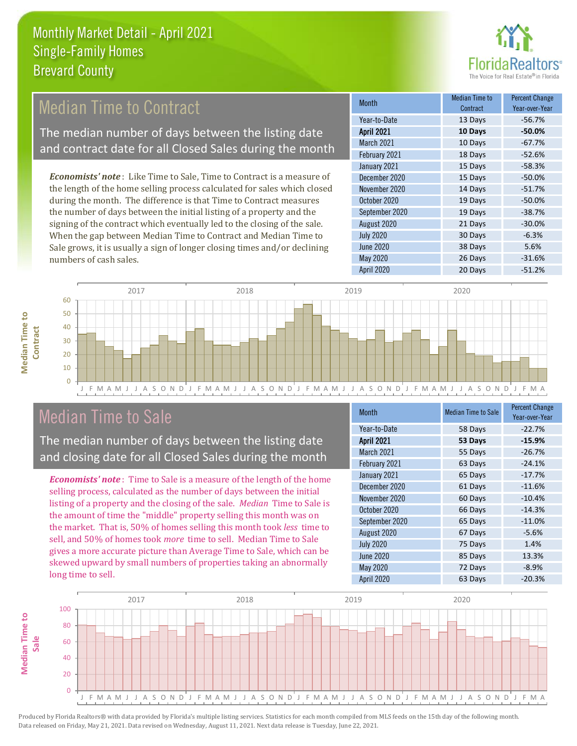

## Median Time to Contract

The median number of days between the listing date and contract date for all Closed Sales during the month

*Economists' note* : Like Time to Sale, Time to Contract is a measure of the length of the home selling process calculated for sales which closed during the month. The difference is that Time to Contract measures the number of days between the initial listing of a property and the signing of the contract which eventually led to the closing of the sale. When the gap between Median Time to Contract and Median Time to Sale grows, it is usually a sign of longer closing times and/or declining numbers of cash sales.

| <b>Month</b>      | Median Time to<br>Contract | <b>Percent Change</b><br>Year-over-Year |
|-------------------|----------------------------|-----------------------------------------|
| Year-to-Date      | 13 Days                    | $-56.7%$                                |
| <b>April 2021</b> | 10 Days                    | $-50.0%$                                |
| March 2021        | 10 Days                    | $-67.7%$                                |
| February 2021     | 18 Days                    | $-52.6%$                                |
| January 2021      | 15 Days                    | $-58.3%$                                |
| December 2020     | 15 Days                    | $-50.0%$                                |
| November 2020     | 14 Days                    | $-51.7%$                                |
| October 2020      | 19 Days                    | $-50.0%$                                |
| September 2020    | 19 Days                    | $-38.7%$                                |
| August 2020       | 21 Days                    | $-30.0%$                                |
| <b>July 2020</b>  | 30 Days                    | $-6.3%$                                 |
| <b>June 2020</b>  | 38 Days                    | 5.6%                                    |
| May 2020          | 26 Days                    | $-31.6%$                                |
| <b>April 2020</b> | 20 Days                    | $-51.2%$                                |



### Median Time to Sale

**Median Time to** 

**Median Time to** 

The median number of days between the listing date and closing date for all Closed Sales during the month

*Economists' note* : Time to Sale is a measure of the length of the home selling process, calculated as the number of days between the initial listing of a property and the closing of the sale. *Median* Time to Sale is the amount of time the "middle" property selling this month was on the market. That is, 50% of homes selling this month took *less* time to sell, and 50% of homes took *more* time to sell. Median Time to Sale gives a more accurate picture than Average Time to Sale, which can be skewed upward by small numbers of properties taking an abnormally long time to sell.

| <b>Month</b>      | <b>Median Time to Sale</b> | <b>Percent Change</b><br>Year-over-Year |
|-------------------|----------------------------|-----------------------------------------|
| Year-to-Date      | 58 Days                    | $-22.7%$                                |
| <b>April 2021</b> | 53 Days                    | $-15.9%$                                |
| March 2021        | 55 Days                    | $-26.7%$                                |
| February 2021     | 63 Days                    | $-24.1%$                                |
| January 2021      | 65 Days                    | $-17.7%$                                |
| December 2020     | 61 Days                    | $-11.6%$                                |
| November 2020     | 60 Days                    | $-10.4%$                                |
| October 2020      | 66 Days                    | $-14.3%$                                |
| September 2020    | 65 Days                    | $-11.0%$                                |
| August 2020       | 67 Days                    | $-5.6%$                                 |
| <b>July 2020</b>  | 75 Days                    | 1.4%                                    |
| <b>June 2020</b>  | 85 Days                    | 13.3%                                   |
| <b>May 2020</b>   | 72 Days                    | $-8.9%$                                 |
| April 2020        | 63 Days                    | $-20.3%$                                |

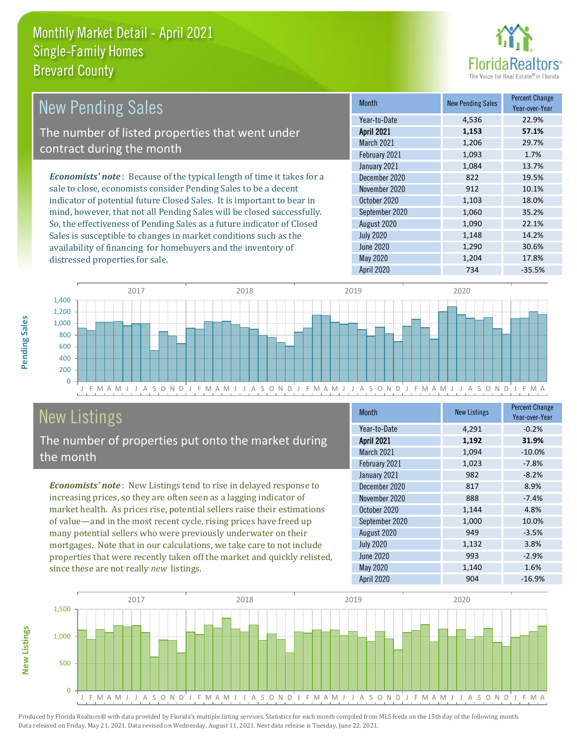distressed properties for sale.



| <b>New Pending Sales</b>                                                       | <b>Month</b>      | <b>New Pending Sales</b> | <b>Percent Change</b><br>Year-over-Year |
|--------------------------------------------------------------------------------|-------------------|--------------------------|-----------------------------------------|
|                                                                                | Year-to-Date      | 4,536                    | 22.9%                                   |
| The number of listed properties that went under                                | <b>April 2021</b> | 1,153                    | 57.1%                                   |
| contract during the month                                                      | <b>March 2021</b> | 1,206                    | 29.7%                                   |
|                                                                                | February 2021     | 1,093                    | 1.7%                                    |
|                                                                                | January 2021      | 1,084                    | 13.7%                                   |
| <b>Economists' note</b> : Because of the typical length of time it takes for a | December 2020     | 822                      | 19.5%                                   |
| sale to close, economists consider Pending Sales to be a decent                | November 2020     | 912                      | 10.1%                                   |
| indicator of potential future Closed Sales. It is important to bear in         | October 2020      | 1,103                    | 18.0%                                   |
| mind, however, that not all Pending Sales will be closed successfully.         | September 2020    | 1,060                    | 35.2%                                   |
| So, the effectiveness of Pending Sales as a future indicator of Closed         | August 2020       | 1,090                    | 22.1%                                   |
| Sales is susceptible to changes in market conditions such as the               | <b>July 2020</b>  | 1,148                    | 14.2%                                   |

J F M A M J J A S O N D J F M A M J J A S O N D J F M A M J J A S O N D J F M A M J J A S O N D J F M A  $\Omega$ 200 400 600 800 1,000 1,200 1,400 2017 2018 2019 2020

# New Listings

The number of properties put onto the market during the month

availability of financing for homebuyers and the inventory of

*Economists' note* : New Listings tend to rise in delayed response to increasing prices, so they are often seen as a lagging indicator of market health. As prices rise, potential sellers raise their estimations of value—and in the most recent cycle, rising prices have freed up many potential sellers who were previously underwater on their mortgages. Note that in our calculations, we take care to not include properties that were recently taken off the market and quickly relisted, since these are not really *new* listings.

| <b>Month</b>      | <b>New Listings</b> | <b>Percent Change</b><br>Year-over-Year |
|-------------------|---------------------|-----------------------------------------|
| Year-to-Date      | 4,291               | $-0.2%$                                 |
| April 2021        | 1,192               | 31.9%                                   |
| March 2021        | 1,094               | $-10.0%$                                |
| February 2021     | 1,023               | $-7.8%$                                 |
| January 2021      | 982                 | $-8.2%$                                 |
| December 2020     | 817                 | 8.9%                                    |
| November 2020     | 888                 | $-7.4%$                                 |
| October 2020      | 1,144               | 4.8%                                    |
| September 2020    | 1,000               | 10.0%                                   |
| August 2020       | 949                 | $-3.5%$                                 |
| <b>July 2020</b>  | 1,132               | 3.8%                                    |
| <b>June 2020</b>  | 993                 | $-2.9%$                                 |
| May 2020          | 1,140               | 1.6%                                    |
| <b>April 2020</b> | 904                 | $-16.9%$                                |

June 2020 **1,290** 30.6% May 2020 1,204 17.8% April 2020 734 -35.5%



Produced by Florida Realtors® with data provided by Florida's multiple listing services. Statistics for each month compiled from MLS feeds on the 15th day of the following month. Data released on Friday, May 21, 2021. Data revised on Wednesday, August 11, 2021. Next data release is Tuesday, June 22, 2021.

**New Listings**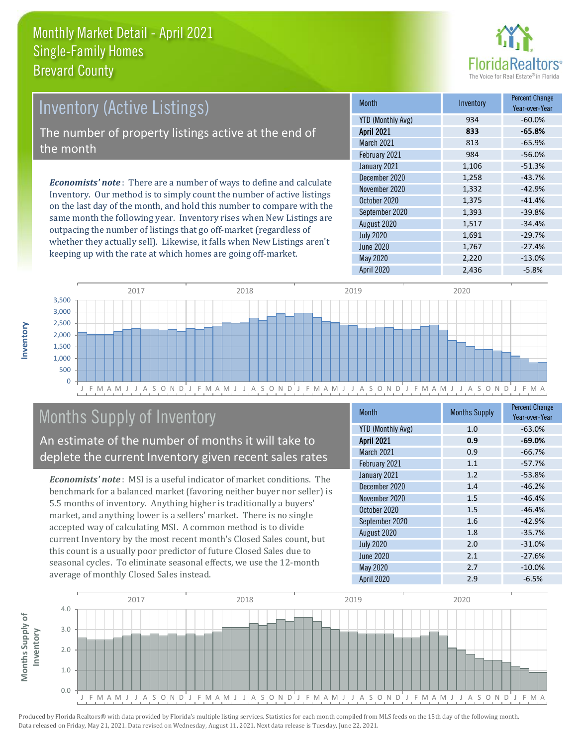

# *Economists' note* : There are a number of ways to define and calculate Inventory (Active Listings) The number of property listings active at the end of the month

Inventory. Our method is to simply count the number of active listings on the last day of the month, and hold this number to compare with the same month the following year. Inventory rises when New Listings are outpacing the number of listings that go off-market (regardless of whether they actually sell). Likewise, it falls when New Listings aren't keeping up with the rate at which homes are going off-market.

| <b>Month</b>      | Inventory | <b>Percent Change</b><br>Year-over-Year |
|-------------------|-----------|-----------------------------------------|
| YTD (Monthly Avg) | 934       | $-60.0%$                                |
| <b>April 2021</b> | 833       | $-65.8%$                                |
| <b>March 2021</b> | 813       | $-65.9%$                                |
| February 2021     | 984       | $-56.0%$                                |
| January 2021      | 1,106     | $-51.3%$                                |
| December 2020     | 1,258     | $-43.7%$                                |
| November 2020     | 1,332     | $-42.9%$                                |
| October 2020      | 1,375     | $-41.4%$                                |
| September 2020    | 1,393     | $-39.8%$                                |
| August 2020       | 1,517     | $-34.4%$                                |
| <b>July 2020</b>  | 1,691     | $-29.7%$                                |
| <b>June 2020</b>  | 1,767     | $-27.4%$                                |
| <b>May 2020</b>   | 2,220     | $-13.0%$                                |
| <b>April 2020</b> | 2,436     | $-5.8%$                                 |



# Months Supply of Inventory

An estimate of the number of months it will take to deplete the current Inventory given recent sales rates

*Economists' note* : MSI is a useful indicator of market conditions. The benchmark for a balanced market (favoring neither buyer nor seller) is 5.5 months of inventory. Anything higher is traditionally a buyers' market, and anything lower is a sellers' market. There is no single accepted way of calculating MSI. A common method is to divide current Inventory by the most recent month's Closed Sales count, but this count is a usually poor predictor of future Closed Sales due to seasonal cycles. To eliminate seasonal effects, we use the 12-month average of monthly Closed Sales instead.

| <b>Month</b>             | <b>Months Supply</b> | <b>Percent Change</b><br>Year-over-Year |
|--------------------------|----------------------|-----------------------------------------|
| <b>YTD (Monthly Avg)</b> | 1.0                  | $-63.0%$                                |
| <b>April 2021</b>        | 0.9                  | $-69.0%$                                |
| March 2021               | 0.9                  | $-66.7%$                                |
| February 2021            | 1.1                  | $-57.7%$                                |
| January 2021             | 1.2                  | $-53.8%$                                |
| December 2020            | 1.4                  | $-46.2%$                                |
| November 2020            | 1.5                  | $-46.4%$                                |
| October 2020             | 1.5                  | $-46.4%$                                |
| September 2020           | 1.6                  | $-42.9%$                                |
| August 2020              | 1.8                  | $-35.7%$                                |
| <b>July 2020</b>         | 2.0                  | $-31.0%$                                |
| <b>June 2020</b>         | 2.1                  | $-27.6%$                                |
| May 2020                 | 2.7                  | $-10.0%$                                |
| <b>April 2020</b>        | 2.9                  | $-6.5%$                                 |

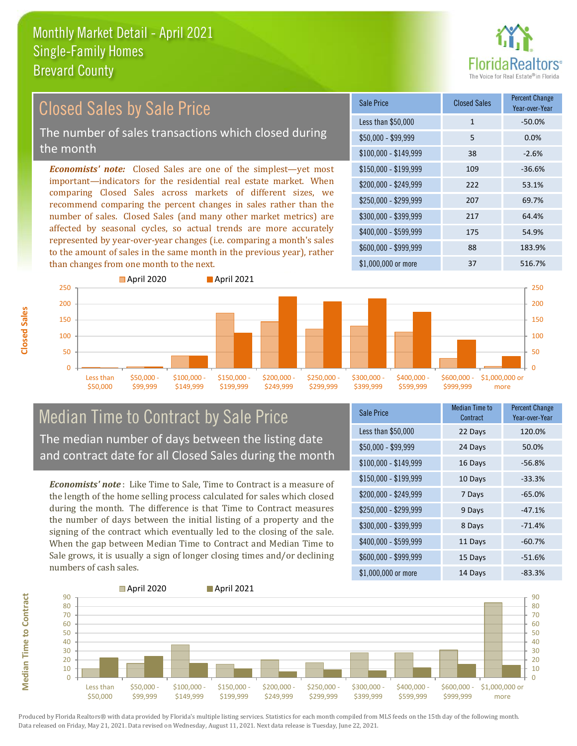

#### *Economists' note:* Closed Sales are one of the simplest—yet most important—indicators for the residential real estate market. When comparing Closed Sales across markets of different sizes, we recommend comparing the percent changes in sales rather than the number of sales. Closed Sales (and many other market metrics) are affected by seasonal cycles, so actual trends are more accurately represented by year-over-year changes (i.e. comparing a month's sales to the amount of sales in the same month in the previous year), rather than changes from one month to the next. \$1,000,000 or more 37 516.7% \$250,000 - \$299,999 207 69.7% \$300,000 - \$399,999 217 64.4% \$400,000 - \$599,999 175 54.9% \$600,000 - \$999,999 88 183.9% \$150,000 - \$199,999 109 -36.6% \$200,000 - \$249,999 222 53.1% \$100,000 - \$149,999 38 -2.6% Sale Price Closed Sales Percent Change Year-over-Year Less than \$50,000 1 1 -50.0% \$50,000 - \$99,999 5 0.0% 250 **April 2020 April 2021** 250 Closed Sales by Sale Price The number of sales transactions which closed during the month



#### Median Time to Contract by Sale Price The median number of days between the listing date and contract date for all Closed Sales during the month

*Economists' note* : Like Time to Sale, Time to Contract is a measure of the length of the home selling process calculated for sales which closed during the month. The difference is that Time to Contract measures the number of days between the initial listing of a property and the signing of the contract which eventually led to the closing of the sale. When the gap between Median Time to Contract and Median Time to Sale grows, it is usually a sign of longer closing times and/or declining numbers of cash sales.

| Sale Price            | Median Time to<br>Contract | <b>Percent Change</b><br>Year-over-Year |
|-----------------------|----------------------------|-----------------------------------------|
| Less than \$50,000    | 22 Days                    | 120.0%                                  |
| \$50,000 - \$99,999   | 24 Days                    | 50.0%                                   |
| $$100,000 - $149,999$ | 16 Days                    | $-56.8%$                                |
| $$150,000 - $199,999$ | 10 Days                    | $-33.3%$                                |
| \$200,000 - \$249,999 | 7 Days                     | $-65.0%$                                |
| \$250,000 - \$299,999 | 9 Days                     | $-47.1%$                                |
| \$300,000 - \$399,999 | 8 Days                     | $-71.4%$                                |
| \$400,000 - \$599,999 | 11 Days                    | $-60.7%$                                |
| \$600,000 - \$999,999 | 15 Days                    | $-51.6%$                                |
| \$1,000,000 or more   | 14 Days                    | $-83.3%$                                |



Produced by Florida Realtors® with data provided by Florida's multiple listing services. Statistics for each month compiled from MLS feeds on the 15th day of the following month. Data released on Friday, May 21, 2021. Data revised on Wednesday, August 11, 2021. Next data release is Tuesday, June 22, 2021.

**Median Time to Contract**

**Median Time to Contract**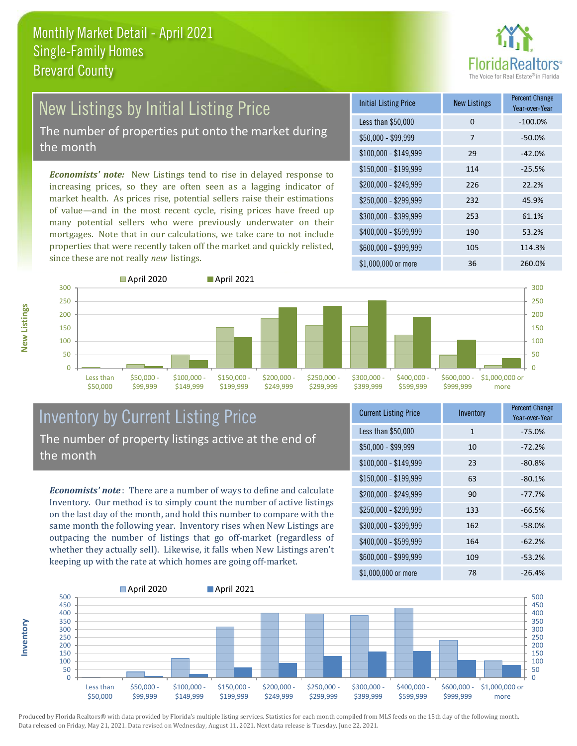

# New Listings by Initial Listing Price

The number of properties put onto the market during the month

*Economists' note:* New Listings tend to rise in delayed response to increasing prices, so they are often seen as a lagging indicator of market health. As prices rise, potential sellers raise their estimations of value—and in the most recent cycle, rising prices have freed up many potential sellers who were previously underwater on their mortgages. Note that in our calculations, we take care to not include properties that were recently taken off the market and quickly relisted, since these are not really *new* listings.

| <b>Initial Listing Price</b> | <b>New Listings</b> | <b>Percent Change</b><br>Year-over-Year |
|------------------------------|---------------------|-----------------------------------------|
| Less than \$50,000           | 0                   | $-100.0%$                               |
| $$50,000 - $99,999$          | 7                   | $-50.0%$                                |
| $$100,000 - $149,999$        | 29                  | $-42.0%$                                |
| $$150,000 - $199,999$        | 114                 | $-25.5%$                                |
| \$200,000 - \$249,999        | 226                 | 22.2%                                   |
| \$250,000 - \$299,999        | 232                 | 45.9%                                   |
| \$300,000 - \$399,999        | 253                 | 61.1%                                   |
| \$400,000 - \$599,999        | 190                 | 53.2%                                   |
| \$600,000 - \$999,999        | 105                 | 114.3%                                  |
| \$1,000,000 or more          | 36                  | 260.0%                                  |



#### Inventory by Current Listing Price The number of property listings active at the end of the month

*Economists' note* : There are a number of ways to define and calculate Inventory. Our method is to simply count the number of active listings on the last day of the month, and hold this number to compare with the same month the following year. Inventory rises when New Listings are outpacing the number of listings that go off-market (regardless of whether they actually sell). Likewise, it falls when New Listings aren't keeping up with the rate at which homes are going off-market.

| <b>Current Listing Price</b> | Inventory | <b>Percent Change</b><br>Year-over-Year |
|------------------------------|-----------|-----------------------------------------|
| Less than \$50,000           | 1         | $-75.0%$                                |
| $$50,000 - $99,999$          | 10        | $-72.2%$                                |
| $$100,000 - $149,999$        | 23        | $-80.8%$                                |
| $$150,000 - $199,999$        | 63        | $-80.1%$                                |
| \$200,000 - \$249,999        | 90        | $-77.7%$                                |
| \$250,000 - \$299,999        | 133       | $-66.5%$                                |
| \$300,000 - \$399,999        | 162       | $-58.0%$                                |
| $$400,000 - $599,999$        | 164       | $-62.2%$                                |
| \$600,000 - \$999,999        | 109       | $-53.2%$                                |
| \$1,000,000 or more          | 78        | $-26.4%$                                |



Produced by Florida Realtors® with data provided by Florida's multiple listing services. Statistics for each month compiled from MLS feeds on the 15th day of the following month. Data released on Friday, May 21, 2021. Data revised on Wednesday, August 11, 2021. Next data release is Tuesday, June 22, 2021.

**Inventory**